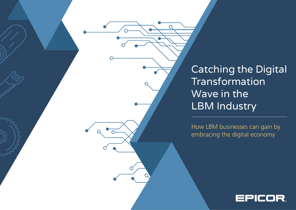Catching the Digital Transformation Wave in the LBM Industry

How LBM businesses can gain by embracing the digital economy

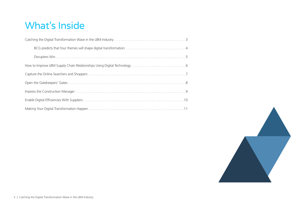# What's Inside

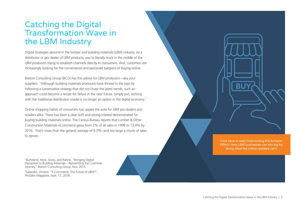#### <span id="page-2-0"></span>Catching the Digital Transformation Wave in the LBM Industry

Digital strategies abound in the lumber and building materials (LBM) industry. As a distributor or pro dealer of LBM products, you're literally stuck in the middle of the LBM producers trying to establish channels directly to consumers. And, customers are increasingly looking for the convenience and perceived bargains of buying online.

Boston Consulting Group (BCG) has this advice for LBM producers—aka your suppliers: "Although building materials producers have thrived in the past by following a conservative strategy that did not chase the latest trends, such an approach could become a recipe for failure in the near future. Simply put, sticking with the traditional distribution model is no longer an option in the digital economy."

Online shopping habits of consumers has upped the ante for LBM pro dealers and retailers alike. There has been a clear shift and strong interest demonstrated for buying building materials online. The Census Bureau reports that Lumber & Other Construction Materials eCommerce grew from 2% of all sales in 1999 to 13.4% by 2016. That's more than the general average of 9.3%--and too large a chunk of sales to ignore.

1 Burfeiend, Heck, Gross, and Rahne, "Bringing Digital Disruption to Building Materials – Reinventing the Customer Journey," Boston Consulting Group, Nov. 2015.

2 Salandro, Vincent. "E-Commerce: The Future of LBM?", *ProSales Magazine*, Sept. 17, 2018.

Click here to read Overcoming the Amazon [Effect: How LBM businesses can win big by](https://lbmjournal.com/white-paper-overcoming-the-amazon-effect/)  doing what the online retailers can't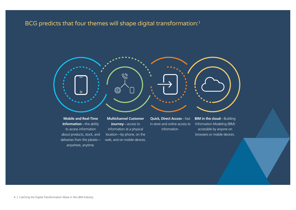#### <span id="page-3-0"></span>BCG predicts that four themes will shape digital transformation:<sup>1</sup>



**Mobile and Real-Time Information**—the ability to access information about products, stock, and deliveries from the jobsite anywhere, anytime.

**Multichannel Customer Journey**—access to information at a physical location—by phone, on the web, and on mobile devices.

**Quick, Direct Access**—fast in-store and online access to information.

**BIM in the cloud**—Building Information Modeling (BIM) accessible by anyone on browsers or mobile devices.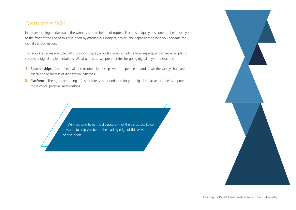#### <span id="page-4-0"></span>**Disrupters Win**

In a transforming marketplace, the winners tend to be the disrupters. Epicor is uniquely positioned to help push you to the front of the line of this disruption by offering our insights, advice, and capabilities to help you navigate the digital transformation.

This eBook explores multiple paths to going digital, provides words of advice from experts, and offers examples of successful digital implementations. We also look at two prerequisites for going digital in your operations:

- **1. Relationships**—Your personal, one-to-one relationships with the people up and down the supply chain are critical to the success of digitization initiatives.
- **2. Platform**—The right computing infrastructure is the foundation for your digital initiatives and helps improve those critical personal relationships.

Winners tend to be the disrupters—not the disrupted. Epicor wants to help you be on the leading edge of this wave of disruption.

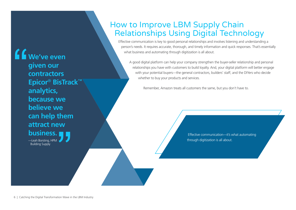<span id="page-5-0"></span>**We've even given our contractors Epicor**® **BisTrack**™ **analytics, because we believe we can help them attract new business.**

> —Leah Borsting, HPM Building Supply

#### How to Improve LBM Supply Chain Relationships Using Digital Technology

Effective communication is key to good personal relationships and involves listening and understanding a person's needs. It requires accurate, thorough, and timely information and quick responses. That's essentially what business and automating through digitization is all about.

A good digital platform can help your company strengthen the buyer-seller relationship and personal relationships you have with customers to build loyalty. And, your digital platform will better engage with your potential buyers—the general contractors, builders' staff, and the DIYers who decide whether to buy your products and services.

Remember, Amazon treats all customers the same, but you don't have to.

 Effective communication—it's what automating through digitization is all about.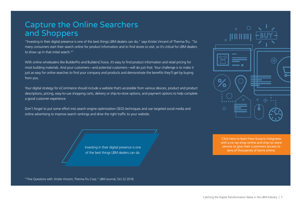#### <span id="page-6-0"></span>Capture the Online Searchers and Shoppers

"Investing in their digital presence is one of the best things LBM dealers can do," says Kristie Vincent of Therma-Tru. "So many consumers start their search online for product information and to find stores to visit, so it's critical for LBM dealers to show up in that initial search. 3 "

With online wholesalers like BuilderPro and BuildersChoice, it's easy to find product information and retail pricing for most building materials. And your customers—and potential customers—will do just that. Your challenge is to make it just as easy for online searches to find your company and products and demonstrate the benefits they'll get by buying from you.

Your digital strategy for eCommerce should include a website that's accessible from various devices, product and product descriptions, pricing, easy-to-use shopping carts, delivery or ship-to-store options, and payment options to help complete a good customer experience.

Don't forget to put some effort into search engine optimization (SEO) techniques and use targeted social media and online advertising to improve search rankings and drive the right traffic to your website.



Click here to learn how Sunpro integrates [with a co-op shop online and ship-to-store](https://www.epicor.com/en-us/resource-center/success-stories/default/sunroc-building-materials/)  service to give their customers access to tens of thousands of items online.

3 "Five Questions with: Kristie Vincent, Therma-Tru Corp." LBM Journal, Oct 22 2018.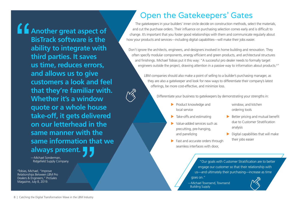<span id="page-7-0"></span>**Another great aspect of BisTrack software is the ability to integrate with third parties. It saves us time, reduces errors, and allows us to give customers a look and feel that they're familiar with. Whether it's a window quote or a whole house take-off, it gets delivered on our letterhead in the same manner with the same information that we always present.**

> —Michael Sonderman, Ridgefield Supply Company

4 Tobias, Michael, "Improve Relationships Between LBM Pro Dealers & Engineers," ProSales Magazine, July 8, 2019.

## Open the Gatekeepers' Gates

The gatekeepers in your builders' inner circle decide on construction methods, select the materials, and cut the purchase orders. Their influence on purchasing selection comes early and is difficult to change. It's important that you foster good relationships with them and communicate regularly about how your products and services—including digital capabilities—will make their jobs easier.

Don't ignore the architects, engineers, and designers involved in home building and renovation. They often specify modular components, energy efficient and green products, and architectural structures and finishings. Michael Tobias put it this way: "A successful pro dealer needs to formally target engineers outside the project, drawing attention in a passive way to information about products. 4 "

> LBM companies should also make a point of selling to a builder's purchasing manager, as they are also a gatekeeper and look for new ways to differentiate their company's latest offerings, be more cost-effective, and minimize loss.

Differentiate your business to gatekeepers by demonstrating your strengths in:

- $\blacktriangleright$  Product knowledge and local service
- $\blacktriangleright$  Take-offs and estimating
- X Value-added services such as precutting, pre-hanging, and panelizing
- $\blacktriangleright$  Fast and accurate orders through seamless interfaces with door,
- window, and kitchen ordering tools
- $\blacktriangleright$  Better pricing and mutual benefit due to Customer Stratification analysis
- Digital capabilities that will make their jobs easier

"Our goals with Customer Stratification are to better engage our customer so that their relationship with us—and ultimately their purchasing—increase as time goes on."

—Michael Townsend, Townsend Building Supply

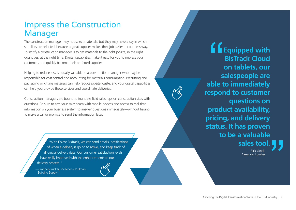### <span id="page-8-0"></span>Impress the Construction Manager

The construction manager may not select materials, but they may have a say in which suppliers are selected, because a great supplier makes their job easier in countless way. To satisfy a construction manager is to get materials to the right jobsite, in the right quantities, at the right time. Digital capabilities make it easy for you to impress your customers and quickly become their preferred supplier.

Helping to reduce loss is equally valuable to a construction manager who may be responsible for cost control and accounting for materials consumption. Precutting and packaging or kitting materials can help reduce jobsite waste, and your digital capabilities can help you provide these services and coordinate deliveries.

Construction managers are bound to inundate field sales reps on construction sites with questions. Be sure to arm your sales team with mobile devices and access to real-time information on your business system to answer questions immediately—without having to make a call or promise to send the information later.

> ["With Epicor BisTrack, we can send emails, notifications](https://www.epicor.com/en-us/resource-center/success-stories/moscow-pullman-building-supply/)  of when a delivery is going to arrive, and keep track of all crucial delivery data. Our customer satisfaction levels have really improved with the enhancements to our delivery process."

—Brandon Rucker, Moscow & Pullman Building Supply



**Equipped with BisTrack Cloud on tablets, our salespeople are able to immediately respond to customer questions on product availability, pricing, and delivery status. It has proven to be a valuable sales tool.**

> —Rick Vancil, Alexander Lumber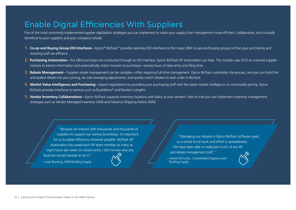## <span id="page-9-0"></span>Enable Digital Efficiencies With Suppliers

Five of the most commonly implemented supplier digitization strategies you can implement to make your supply chain management more efficient, collaborative, and mutually beneficial to your suppliers and your company include:

- **1. Co-op and Buying Group EDI Interfaces**—Epicor® BisTrack™ provides seamless EDI interfaces to the major LBM co-ops and buying groups so that your purchasing and receiving staff are efficient.
- **2. Purchasing Automation**—For LBM purchases not conducted through an EDI interface, Epicor BisTrack AP Automation can help. The module uses OCR on scanned supplier invoices to extract information and automatically match invoices to purchases—saving hours of data entry and filing time.
- **3. Rebate Management**—Supplier rebate management can be complex—often requiring full-time management. Epicor BisTrack automates the process, and you can build the anticipated rebate into your pricing, do cost averaging adjustments, and quickly match rebates to each order in BisTrack.
- **4. Market Value Intelligence and Purchasing**—Speed negotiations by providing your purchasing staff with the latest market intelligence on commodity pricing. Epicor BisTrack provides interfaces to services such as BuyMetrics® and Random Lengths.
- **5. Vendor Inventory Collaborations**—Epicor BisTrack supports inventory locations and status at your vendors' sites so that you can implement inventory management strategies such as Vendor Managed Inventory (VMI) and Advance Shipping Notice (ASN).

—Leah Borsting, HPM Building Supply "Because we interact with thousands and thousands of suppliers to support our various businesses, it's important for us to adopt efficiency wherever possible. BisTrack AP Automation has saved each AP team member as many as eight hours per week on invoice entry. I do[n't know wh](https://www.epicor.com/en-us/resource-center/success-stories/hpm-building-supply/)y any business would hesitate to do it."

"Managing our rebates in Epicor BisTrack software saves us a whole lot of work and effort in spreadsheets. We have been able to reallocate much of our AP and rebate management staff."

—David Archutick, Consolidated Gypsum and Roofing Supply

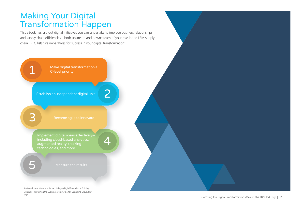#### <span id="page-10-0"></span>Making Your Digital Transformation Happen

This eBook has laid out digital initiatives you can undertake to improve business relationships and supply chain efficiencies—both upstream and downstream of your role in the LBM supply chain. BCG lists five imperatives for success in your digital transformation:

> Make digital transformation a C-level priority

Establish an independent digital unit

Implement digital ideas effectively technologies, and more

Measure the results

3 Burfeiend, Heck, Gross, and Rahne, "Bringing Digital Disruption to Building Materials – Reinventing the Customer Journey," Boston Consulting Group, Nov